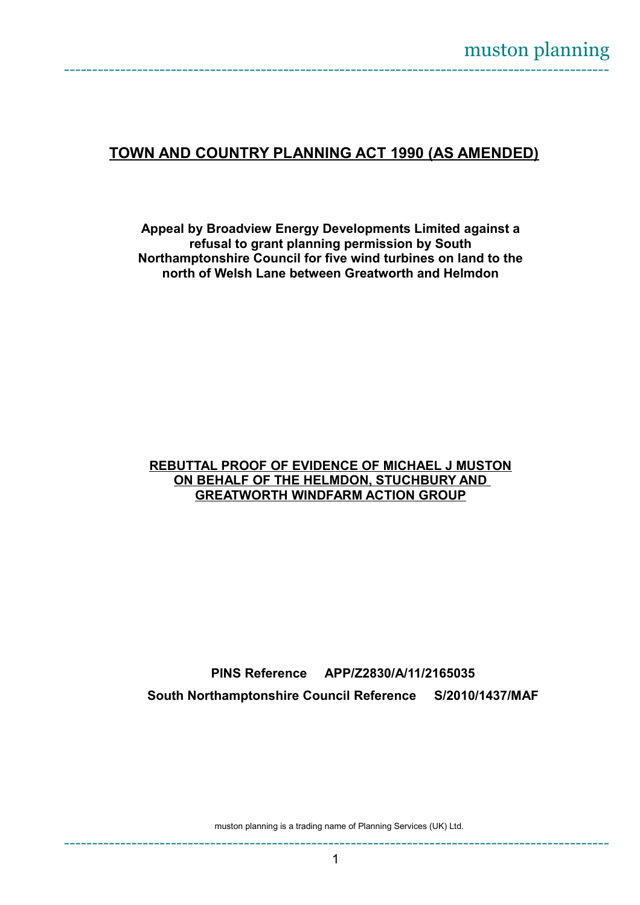## **TOWN AND COUNTRY PLANNING ACT 1990 (AS AMENDED)**

**Appeal by Broadview Energy Developments Limited against a refusal to grant planning permission by South Northamptonshire Council for five wind turbines on land to the north of Welsh Lane between Greatworth and Helmdon**

## **REBUTTAL PROOF OF EVIDENCE OF MICHAEL J MUSTON ON BEHALF OF THE HELMDON, STUCHBURY AND GREATWORTH WINDFARM ACTION GROUP**

**PINS Reference APP/Z2830/A/11/2165035 South Northamptonshire Council Reference S/2010/1437/MAF**

muston planning is a trading name of Planning Services (UK) Ltd.

-------------------------------------------------------------------------------------------------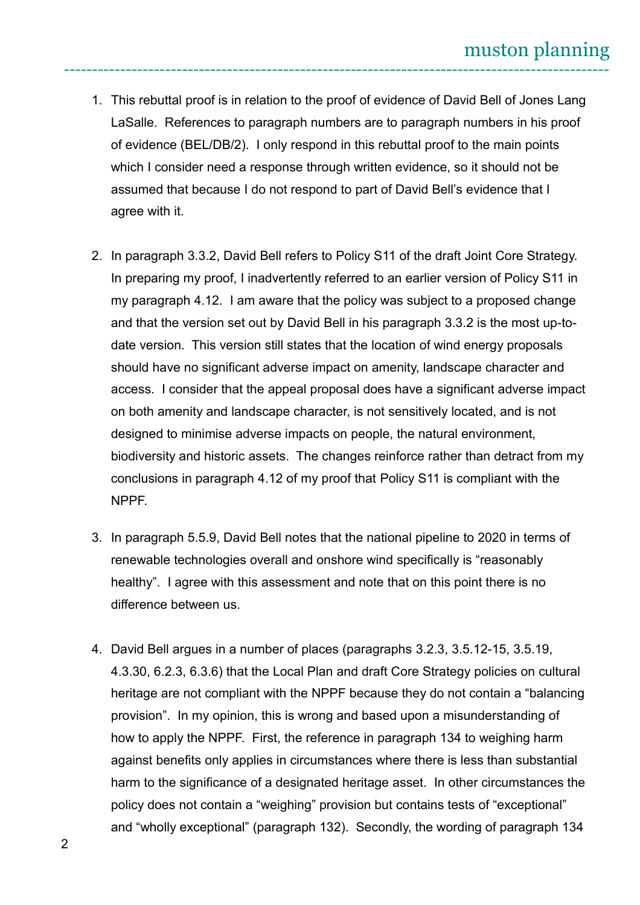- 1. This rebuttal proof is in relation to the proof of evidence of David Bell of Jones Lang LaSalle. References to paragraph numbers are to paragraph numbers in his proof of evidence (BEL/DB/2). I only respond in this rebuttal proof to the main points which I consider need a response through written evidence, so it should not be assumed that because I do not respond to part of David Bell's evidence that I agree with it.
- 2. In paragraph 3.3.2, David Bell refers to Policy S11 of the draft Joint Core Strategy. In preparing my proof, I inadvertently referred to an earlier version of Policy S11 in my paragraph 4.12. I am aware that the policy was subject to a proposed change and that the version set out by David Bell in his paragraph 3.3.2 is the most up-todate version. This version still states that the location of wind energy proposals should have no significant adverse impact on amenity, landscape character and access. I consider that the appeal proposal does have a significant adverse impact on both amenity and landscape character, is not sensitively located, and is not designed to minimise adverse impacts on people, the natural environment, biodiversity and historic assets. The changes reinforce rather than detract from my conclusions in paragraph 4.12 of my proof that Policy S11 is compliant with the NPPF.
- 3. In paragraph 5.5.9, David Bell notes that the national pipeline to 2020 in terms of renewable technologies overall and onshore wind specifically is "reasonably healthy". I agree with this assessment and note that on this point there is no difference between us.
- 4. David Bell argues in a number of places (paragraphs 3.2.3, 3.5.12-15, 3.5.19, 4.3.30, 6.2.3, 6.3.6) that the Local Plan and draft Core Strategy policies on cultural heritage are not compliant with the NPPF because they do not contain a "balancing provision". In my opinion, this is wrong and based upon a misunderstanding of how to apply the NPPF. First, the reference in paragraph 134 to weighing harm against benefits only applies in circumstances where there is less than substantial harm to the significance of a designated heritage asset. In other circumstances the policy does not contain a "weighing" provision but contains tests of "exceptional" and "wholly exceptional" (paragraph 132). Secondly, the wording of paragraph 134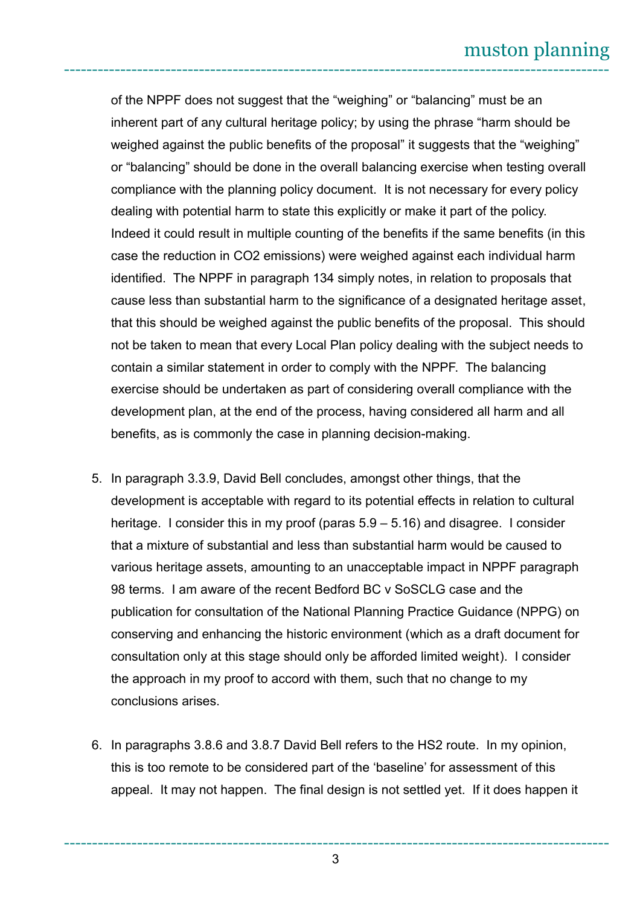of the NPPF does not suggest that the "weighing" or "balancing" must be an inherent part of any cultural heritage policy; by using the phrase "harm should be weighed against the public benefits of the proposal" it suggests that the "weighing" or "balancing" should be done in the overall balancing exercise when testing overall compliance with the planning policy document. It is not necessary for every policy dealing with potential harm to state this explicitly or make it part of the policy. Indeed it could result in multiple counting of the benefits if the same benefits (in this case the reduction in CO2 emissions) were weighed against each individual harm identified. The NPPF in paragraph 134 simply notes, in relation to proposals that cause less than substantial harm to the significance of a designated heritage asset, that this should be weighed against the public benefits of the proposal. This should not be taken to mean that every Local Plan policy dealing with the subject needs to contain a similar statement in order to comply with the NPPF. The balancing exercise should be undertaken as part of considering overall compliance with the development plan, at the end of the process, having considered all harm and all benefits, as is commonly the case in planning decision-making.

- 5. In paragraph 3.3.9, David Bell concludes, amongst other things, that the development is acceptable with regard to its potential effects in relation to cultural heritage. I consider this in my proof (paras  $5.9 - 5.16$ ) and disagree. I consider that a mixture of substantial and less than substantial harm would be caused to various heritage assets, amounting to an unacceptable impact in NPPF paragraph 98 terms. I am aware of the recent Bedford BC v SoSCLG case and the publication for consultation of the National Planning Practice Guidance (NPPG) on conserving and enhancing the historic environment (which as a draft document for consultation only at this stage should only be afforded limited weight). I consider the approach in my proof to accord with them, such that no change to my conclusions arises.
- 6. In paragraphs 3.8.6 and 3.8.7 David Bell refers to the HS2 route. In my opinion, this is too remote to be considered part of the 'baseline' for assessment of this appeal. It may not happen. The final design is not settled yet. If it does happen it

------------------------------------------------------------------------------------------------- 3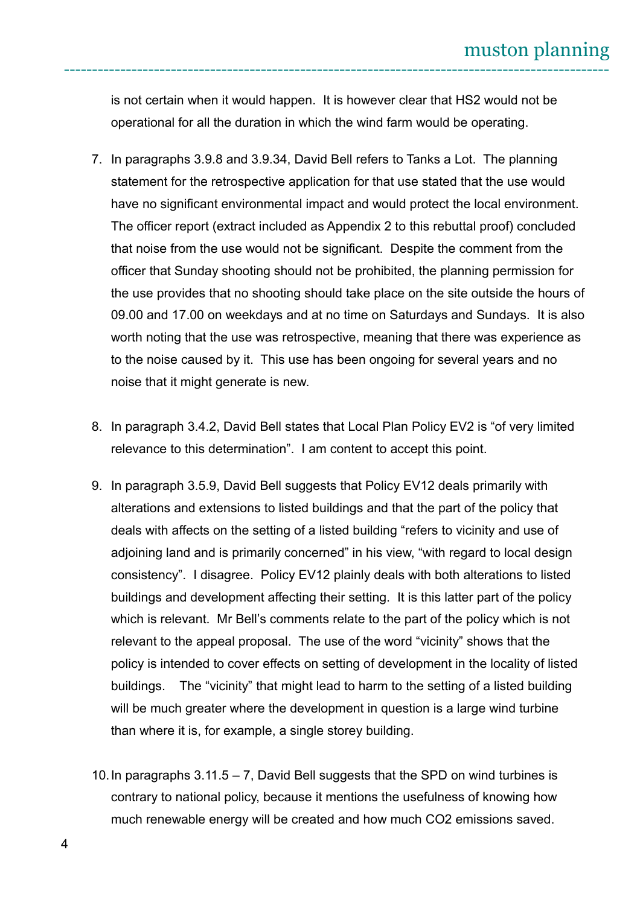is not certain when it would happen. It is however clear that HS2 would not be operational for all the duration in which the wind farm would be operating.

- 7. In paragraphs 3.9.8 and 3.9.34, David Bell refers to Tanks a Lot. The planning statement for the retrospective application for that use stated that the use would have no significant environmental impact and would protect the local environment. The officer report (extract included as Appendix 2 to this rebuttal proof) concluded that noise from the use would not be significant. Despite the comment from the officer that Sunday shooting should not be prohibited, the planning permission for the use provides that no shooting should take place on the site outside the hours of 09.00 and 17.00 on weekdays and at no time on Saturdays and Sundays. It is also worth noting that the use was retrospective, meaning that there was experience as to the noise caused by it. This use has been ongoing for several years and no noise that it might generate is new.
- 8. In paragraph 3.4.2, David Bell states that Local Plan Policy EV2 is "of very limited relevance to this determination". I am content to accept this point.
- 9. In paragraph 3.5.9, David Bell suggests that Policy EV12 deals primarily with alterations and extensions to listed buildings and that the part of the policy that deals with affects on the setting of a listed building "refers to vicinity and use of adjoining land and is primarily concerned" in his view, "with regard to local design consistency". I disagree. Policy EV12 plainly deals with both alterations to listed buildings and development affecting their setting. It is this latter part of the policy which is relevant. Mr Bell's comments relate to the part of the policy which is not relevant to the appeal proposal. The use of the word "vicinity" shows that the policy is intended to cover effects on setting of development in the locality of listed buildings. The "vicinity" that might lead to harm to the setting of a listed building will be much greater where the development in question is a large wind turbine than where it is, for example, a single storey building.
- 10.In paragraphs 3.11.5 7, David Bell suggests that the SPD on wind turbines is contrary to national policy, because it mentions the usefulness of knowing how much renewable energy will be created and how much CO2 emissions saved.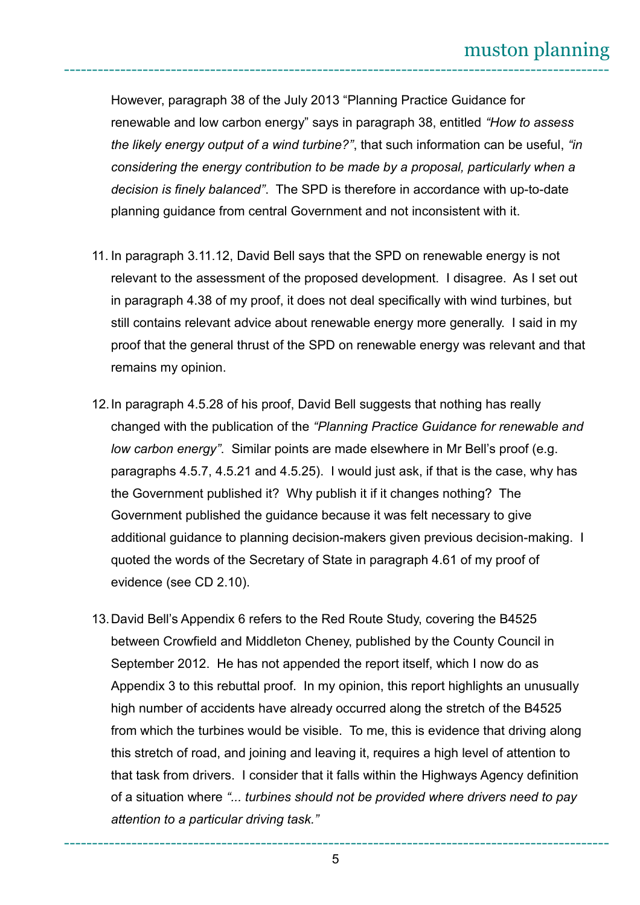However, paragraph 38 of the July 2013 "Planning Practice Guidance for renewable and low carbon energy" says in paragraph 38, entitled *"How to assess the likely energy output of a wind turbine?"*, that such information can be useful, *"in considering the energy contribution to be made by a proposal, particularly when a decision is finely balanced"*. The SPD is therefore in accordance with up-to-date planning guidance from central Government and not inconsistent with it.

- 11. In paragraph 3.11.12, David Bell says that the SPD on renewable energy is not relevant to the assessment of the proposed development. I disagree. As I set out in paragraph 4.38 of my proof, it does not deal specifically with wind turbines, but still contains relevant advice about renewable energy more generally. I said in my proof that the general thrust of the SPD on renewable energy was relevant and that remains my opinion.
- 12.In paragraph 4.5.28 of his proof, David Bell suggests that nothing has really changed with the publication of the *"Planning Practice Guidance for renewable and low carbon energy"*. Similar points are made elsewhere in Mr Bell's proof (e.g. paragraphs 4.5.7, 4.5.21 and 4.5.25). I would just ask, if that is the case, why has the Government published it? Why publish it if it changes nothing? The Government published the guidance because it was felt necessary to give additional guidance to planning decision-makers given previous decision-making. I quoted the words of the Secretary of State in paragraph 4.61 of my proof of evidence (see CD 2.10).
- 13.David Bell's Appendix 6 refers to the Red Route Study, covering the B4525 between Crowfield and Middleton Cheney, published by the County Council in September 2012. He has not appended the report itself, which I now do as Appendix 3 to this rebuttal proof. In my opinion, this report highlights an unusually high number of accidents have already occurred along the stretch of the B4525 from which the turbines would be visible. To me, this is evidence that driving along this stretch of road, and joining and leaving it, requires a high level of attention to that task from drivers. I consider that it falls within the Highways Agency definition of a situation where *"... turbines should not be provided where drivers need to pay attention to a particular driving task."*